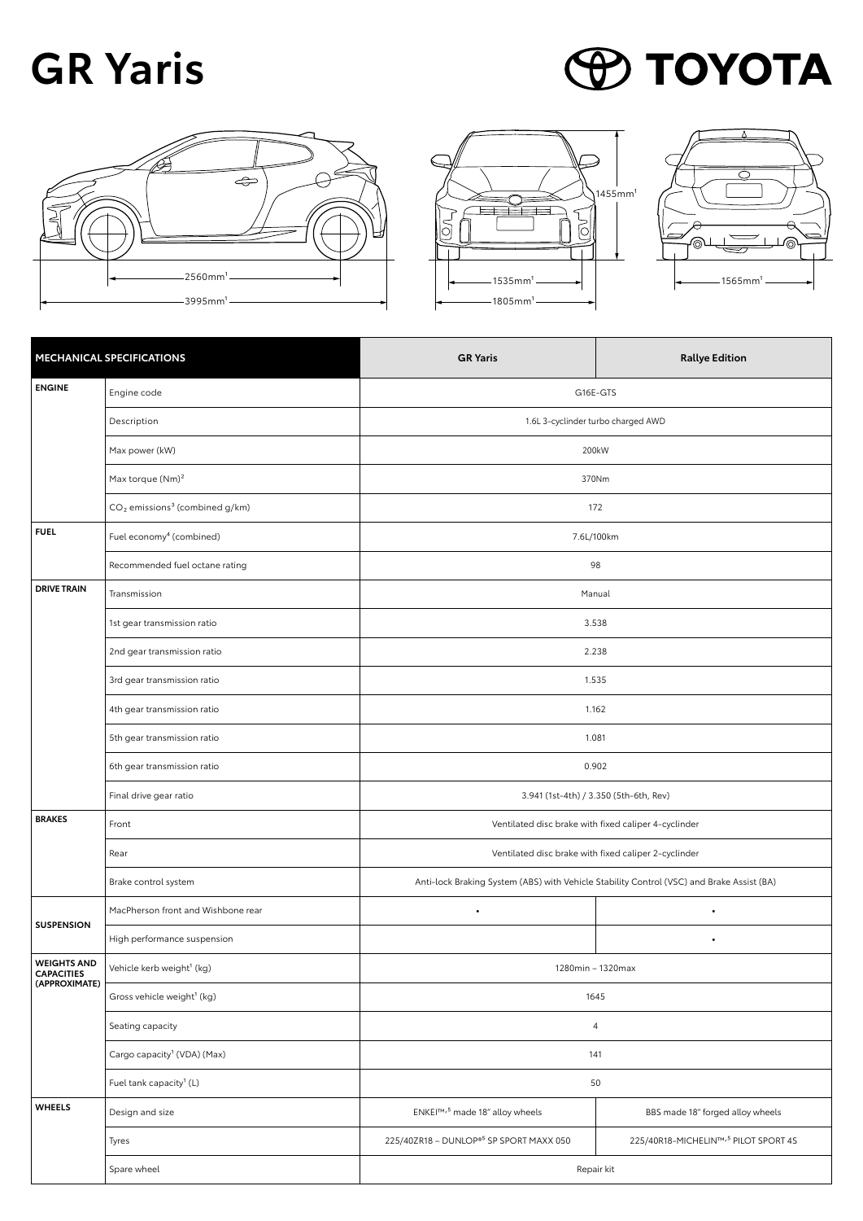## **GR Yaris**









| MECHANICAL SPECIFICATIONS                                |                                              | <b>GR Yaris</b>                                                                           | <b>Rallye Edition</b>                            |
|----------------------------------------------------------|----------------------------------------------|-------------------------------------------------------------------------------------------|--------------------------------------------------|
| <b>ENGINE</b>                                            | Engine code                                  | G16E-GTS                                                                                  |                                                  |
|                                                          | Description                                  | 1.6L 3-cyclinder turbo charged AWD                                                        |                                                  |
|                                                          | Max power (kW)                               | 200kW                                                                                     |                                                  |
|                                                          | Max torque $(Nm)^2$                          | 370Nm                                                                                     |                                                  |
|                                                          | $CO2$ emissions <sup>3</sup> (combined g/km) | 172                                                                                       |                                                  |
| <b>FUEL</b>                                              | Fuel economy <sup>4</sup> (combined)         | 7.6L/100km                                                                                |                                                  |
|                                                          | Recommended fuel octane rating               | 98                                                                                        |                                                  |
| <b>DRIVE TRAIN</b>                                       | Transmission                                 | Manual                                                                                    |                                                  |
|                                                          | 1st gear transmission ratio                  | 3.538                                                                                     |                                                  |
|                                                          | 2nd gear transmission ratio                  | 2.238                                                                                     |                                                  |
|                                                          | 3rd gear transmission ratio                  | 1.535                                                                                     |                                                  |
|                                                          | 4th gear transmission ratio                  | 1.162                                                                                     |                                                  |
|                                                          | 5th gear transmission ratio                  | 1.081                                                                                     |                                                  |
|                                                          | 6th gear transmission ratio                  | 0.902                                                                                     |                                                  |
|                                                          | Final drive gear ratio                       | 3.941 (1st-4th) / 3.350 (5th-6th, Rev)                                                    |                                                  |
| <b>BRAKES</b>                                            | Front                                        | Ventilated disc brake with fixed caliper 4-cyclinder                                      |                                                  |
|                                                          | Rear                                         | Ventilated disc brake with fixed caliper 2-cyclinder                                      |                                                  |
|                                                          | Brake control system                         | Anti-lock Braking System (ABS) with Vehicle Stability Control (VSC) and Brake Assist (BA) |                                                  |
| <b>SUSPENSION</b>                                        | MacPherson front and Wishbone rear           | $\bullet$                                                                                 | $\bullet$                                        |
|                                                          | High performance suspension                  |                                                                                           | ٠                                                |
| <b>WEIGHTS AND</b><br><b>CAPACITIES</b><br>(APPROXIMATE) | Vehicle kerb weight <sup>1</sup> (kg)        | 1280min - 1320max                                                                         |                                                  |
|                                                          | Gross vehicle weight <sup>1</sup> (kg)       | 1645                                                                                      |                                                  |
|                                                          | Seating capacity                             | $\overline{4}$                                                                            |                                                  |
|                                                          | Cargo capacity <sup>1</sup> (VDA) (Max)      | 141                                                                                       |                                                  |
|                                                          | Fuel tank capacity <sup>1</sup> (L)          | 50                                                                                        |                                                  |
| <b>WHEELS</b>                                            | Design and size                              | ENKEI™, <sup>5</sup> made 18" alloy wheels                                                | BBS made 18" forged alloy wheels                 |
|                                                          | Tyres                                        | 225/40ZR18 - DUNLOP® <sup>5</sup> SP SPORT MAXX 050                                       | 225/40R18-MICHELIN™, <sup>5</sup> PILOT SPORT 4S |
|                                                          | Spare wheel                                  | Repair kit                                                                                |                                                  |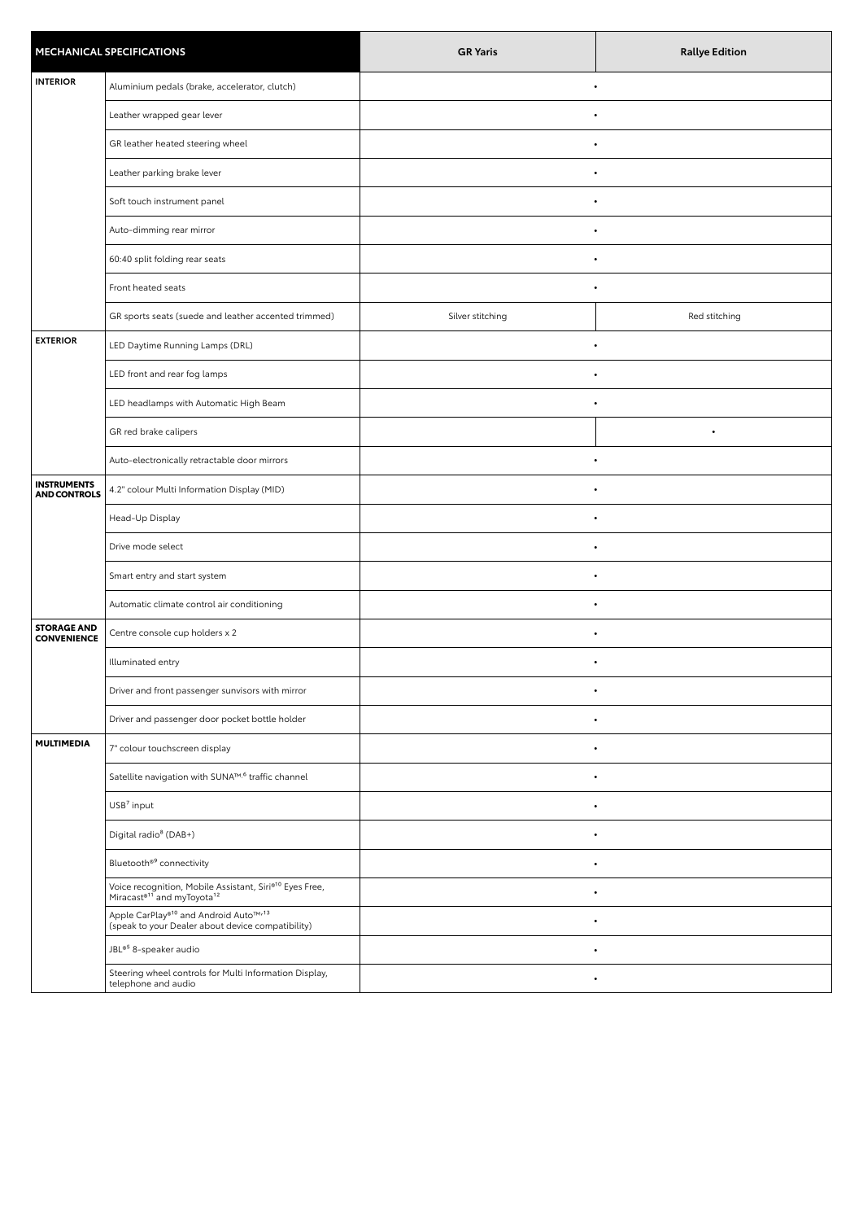| <b>MECHANICAL SPECIFICATIONS</b>          |                                                                                                                           | <b>GR Yaris</b>  | <b>Rallye Edition</b> |
|-------------------------------------------|---------------------------------------------------------------------------------------------------------------------------|------------------|-----------------------|
| <b>INTERIOR</b>                           | Aluminium pedals (brake, accelerator, clutch)                                                                             | $\bullet$        |                       |
|                                           | Leather wrapped gear lever                                                                                                |                  |                       |
|                                           | GR leather heated steering wheel                                                                                          | $\bullet$        |                       |
|                                           | Leather parking brake lever                                                                                               |                  |                       |
|                                           | Soft touch instrument panel                                                                                               |                  |                       |
|                                           | Auto-dimming rear mirror                                                                                                  | $\bullet$        |                       |
|                                           | 60:40 split folding rear seats                                                                                            | $\bullet$        |                       |
|                                           | Front heated seats                                                                                                        |                  |                       |
|                                           | GR sports seats (suede and leather accented trimmed)                                                                      | Silver stitching | Red stitching         |
| <b>EXTERIOR</b>                           | LED Daytime Running Lamps (DRL)                                                                                           |                  |                       |
|                                           | LED front and rear fog lamps                                                                                              |                  |                       |
|                                           | LED headlamps with Automatic High Beam                                                                                    | $\bullet$        |                       |
|                                           | GR red brake calipers                                                                                                     |                  |                       |
|                                           | Auto-electronically retractable door mirrors                                                                              | $\bullet$        |                       |
| <b>INSTRUMENTS</b><br><b>AND CONTROLS</b> | 4.2" colour Multi Information Display (MID)                                                                               | $\bullet$        |                       |
|                                           | Head-Up Display                                                                                                           | $\bullet$        |                       |
|                                           | Drive mode select                                                                                                         |                  |                       |
|                                           | Smart entry and start system                                                                                              | $\bullet$        |                       |
|                                           | Automatic climate control air conditioning                                                                                | $\bullet$        |                       |
| <b>STORAGE AND</b><br><b>CONVENIENCE</b>  | Centre console cup holders x 2                                                                                            | $\bullet$        |                       |
|                                           | Illuminated entry                                                                                                         |                  |                       |
|                                           | Driver and front passenger sunvisors with mirror                                                                          | $\bullet$        |                       |
|                                           | Driver and passenger door pocket bottle holder                                                                            |                  |                       |
| <b>MULTIMEDIA</b>                         | 7" colour touchscreen display                                                                                             |                  |                       |
|                                           | Satellite navigation with SUNA™, <sup>6</sup> traffic channel                                                             | $\bullet$        |                       |
|                                           | USB <sup>7</sup> input                                                                                                    |                  |                       |
|                                           | Digital radio <sup>8</sup> (DAB+)                                                                                         |                  |                       |
|                                           | Bluetooth® <sup>9</sup> connectivity                                                                                      | $\bullet$        |                       |
|                                           | Voice recognition, Mobile Assistant, Siri® <sup>10</sup> Eyes Free,<br>Miracast® <sup>11</sup> and myToyota <sup>12</sup> | $\bullet$        |                       |
|                                           | Apple CarPlay® <sup>10</sup> and Android Auto™ <sup>13</sup><br>(speak to your Dealer about device compatibility)         | $\bullet$        |                       |
|                                           | JBL <sup>®5</sup> 8-speaker audio                                                                                         |                  |                       |
|                                           | Steering wheel controls for Multi Information Display,<br>telephone and audio                                             |                  |                       |